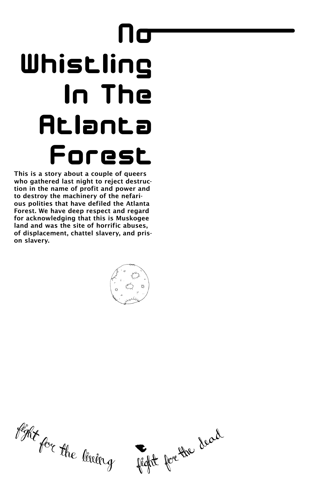This is a story about a couple of queers who gathered last night to reject destruction in the name of profit and power and to destroy the machinery of the nefarious polities that have defiled the Atlanta Forest. We have deep respect and regard for acknowledging that this is Muskogee land and was the site of horrific abuses, of displacement, chattel slavery, and prison slavery.





## No Whistling In The Atlanta Forest